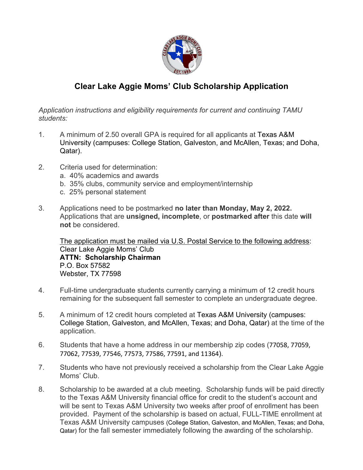

# **Clear Lake Aggie Moms' Club Scholarship Application**

*Application instructions and eligibility requirements for current and continuing TAMU students:*

- 1. A minimum of 2.50 overall GPA is required for all applicants at Texas A&M University (campuses: College Station, Galveston, and McAllen, Texas; and Doha, Qatar).
- 2. Criteria used for determination:
	- a. 40% academics and awards
	- b. 35% clubs, community service and employment/internship
	- c. 25% personal statement
- 3. Applications need to be postmarked **no later than Monday, May 2, 2022.**  Applications that are **unsigned, incomplete**, or **postmarked after** this date **will not** be considered.

The application must be mailed via U.S. Postal Service to the following address: Clear Lake Aggie Moms' Club **ATTN: Scholarship Chairman** P.O. Box 57582 Webster, TX 77598

- 4. Full-time undergraduate students currently carrying a minimum of 12 credit hours remaining for the subsequent fall semester to complete an undergraduate degree.
- 5. A minimum of 12 credit hours completed at Texas A&M University (campuses: College Station, Galveston, and McAllen, Texas; and Doha, Qatar) at the time of the application.
- 6. Students that have a home address in our membership zip codes (77058, 77059, 77062, 77539, 77546, 77573, 77586, 77591, and 11364).
- 7. Students who have not previously received a scholarship from the Clear Lake Aggie Moms' Club.
- 8. Scholarship to be awarded at a club meeting. Scholarship funds will be paid directly to the Texas A&M University financial office for credit to the student's account and will be sent to Texas A&M University two weeks after proof of enrollment has been provided. Payment of the scholarship is based on actual, FULL-TIME enrollment at Texas A&M University campuses (College Station, Galveston, and McAllen, Texas; and Doha, Qatar) for the fall semester immediately following the awarding of the scholarship.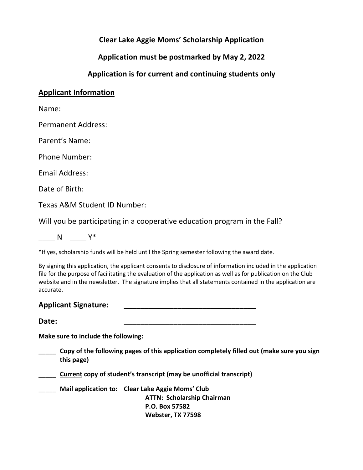## **Clear Lake Aggie Moms' Scholarship Application**

**Application must be postmarked by May 2, 2022**

## **Application is for current and continuing students only**

### **Applicant Information**

Name:

Permanent Address:

Parent's Name:

Phone Number:

Email Address:

Date of Birth:

Texas A&M Student ID Number:

Will you be participating in a cooperative education program in the Fall?

 $N$   $Y^*$ 

\*If yes, scholarship funds will be held until the Spring semester following the award date.

By signing this application, the applicant consents to disclosure of information included in the application file for the purpose of facilitating the evaluation of the application as well as for publication on the Club website and in the newsletter. The signature implies that all statements contained in the application are accurate.

#### **Applicant Signature: \_\_\_\_\_\_\_\_\_\_\_\_\_\_\_\_\_\_\_\_\_\_\_\_\_\_\_\_\_\_\_\_**

**Date: \_\_\_\_\_\_\_\_\_\_\_\_\_\_\_\_\_\_\_\_\_\_\_\_\_\_\_\_\_\_\_\_**

**Make sure to include the following:**

**\_\_\_\_\_ Copy of the following pages of this application completely filled out (make sure you sign this page)**

**\_\_\_\_\_ Current copy of student's transcript (may be unofficial transcript)**

**\_\_\_\_\_ Mail application to: Clear Lake Aggie Moms' Club ATTN: Scholarship Chairman P.O. Box 57582 Webster, TX 77598**